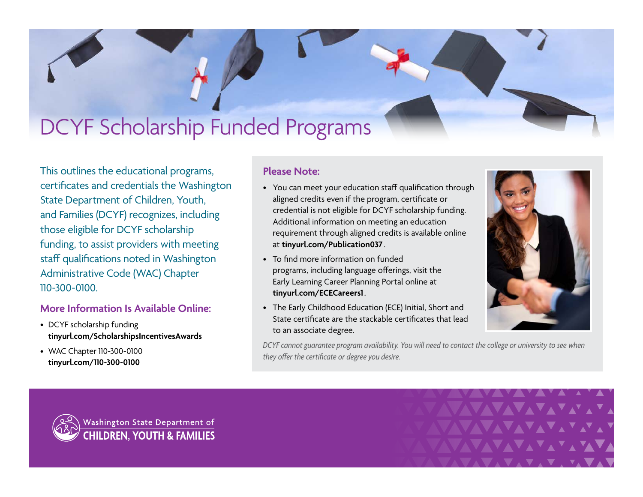## DCYF Scholarship Funded Programs

This outlines the educational programs, certificates and credentials the Washington State Department of Children, Youth, and Families (DCYF) recognizes, including those eligible for DCYF scholarship funding, to assist providers with meeting staff qualifications noted in Washington Administrative Code (WAC) Chapter 110-300-0100.

## **More Information Is Available Online:**

- DCYF scholarship funding **[tinyurl.com/ScholarshipsIncentivesAwards](http://tinyurl.com/ScholarshipsIncentivesAwards)**
- WAC Chapter 110-300-0100 **[tinyurl.com/110-300-0100](http://tinyurl.com/110-300-0100)**

## **Please Note:**

- You can meet your education staff qualification through aligned credits even if the program, certificate or credential is not eligible for DCYF scholarship funding. Additional information on meeting an education requirement through aligned credits is available online at **[tinyurl.com/Publication037](http://tinyurl.com/Publication037)** .
- To find more information on funded programs, including language offerings, visit the Early Learning Career Planning Portal online at **[tinyurl.com/ECECareers1](http://tinyurl.com/ECECareers1).**
- The Early Childhood Education (ECE) Initial, Short and State certificate are the stackable certificates that lead to an associate degree.

*DCYF cannot guarantee program availability. You will need to contact the college or university to see when they offer the certificate or degree you desire.*



Washington State Department of **HILDREN, YOUTH & FAMILIES** 

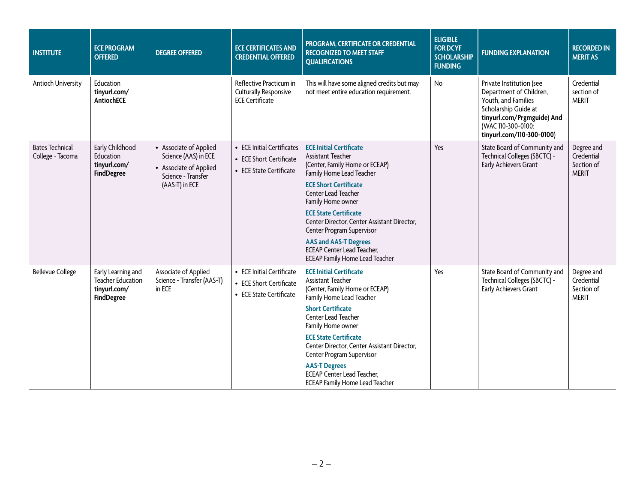| <b>INSTITUTE</b>                           | <b>ECE PROGRAM</b><br><b>OFFERED</b>                                                | <b>DEGREE OFFERED</b>                                                                                            | <b>ECE CERTIFICATES AND</b><br><b>CREDENTIAL OFFERED</b>                              | PROGRAM, CERTIFICATE OR CREDENTIAL<br><b>RECOGNIZED TO MEET STAFF</b><br><b>QUALIFICATIONS</b>                                                                                                                                                                                                                                                                                                                                 | <b>ELIGIBLE</b><br><b>FOR DCYF</b><br><b>SCHOLARSHIP</b><br><b>FUNDING</b> | <b>FUNDING EXPLANATION</b>                                                                                                                                                          | <b>RECORDED IN</b><br><b>MERIT AS</b>                  |
|--------------------------------------------|-------------------------------------------------------------------------------------|------------------------------------------------------------------------------------------------------------------|---------------------------------------------------------------------------------------|--------------------------------------------------------------------------------------------------------------------------------------------------------------------------------------------------------------------------------------------------------------------------------------------------------------------------------------------------------------------------------------------------------------------------------|----------------------------------------------------------------------------|-------------------------------------------------------------------------------------------------------------------------------------------------------------------------------------|--------------------------------------------------------|
| Antioch University                         | Education<br>tinyurl.com/<br><b>AntiochECE</b>                                      |                                                                                                                  | Reflective Practicum in<br><b>Culturally Responsive</b><br><b>ECE Certificate</b>     | This will have some aligned credits but may<br>not meet entire education requirement.                                                                                                                                                                                                                                                                                                                                          | No                                                                         | Private Institution (see<br>Department of Children,<br>Youth, and Families<br>Scholarship Guide at<br>tinyurl.com/Prgmguide) And<br>(WAC 110-300-0100:<br>tinyurl.com/110-300-0100) | Credential<br>section of<br><b>MERIT</b>               |
| <b>Bates Technical</b><br>College - Tacoma | Early Childhood<br>Education<br>tinyurl.com/<br><b>FindDegree</b>                   | • Associate of Applied<br>Science (AAS) in ECE<br>• Associate of Applied<br>Science - Transfer<br>(AAS-T) in ECE | <b>ECE Initial Certificates</b><br>• ECE Short Certificate<br>• ECE State Certificate | <b>ECE Initial Certificate</b><br><b>Assistant Teacher</b><br>(Center, Family Home or ECEAP)<br>Family Home Lead Teacher<br><b>ECE Short Certificate</b><br>Center Lead Teacher<br>Family Home owner<br><b>ECE State Certificate</b><br>Center Director, Center Assistant Director,<br>Center Program Supervisor<br><b>AAS and AAS-T Degrees</b><br><b>ECEAP Center Lead Teacher,</b><br><b>ECEAP Family Home Lead Teacher</b> | Yes                                                                        | State Board of Community and<br>Technical Colleges (SBCTC) -<br>Early Achievers Grant                                                                                               | Degree and<br>Credential<br>Section of<br><b>MERIT</b> |
| <b>Bellevue College</b>                    | Early Learning and<br><b>Teacher Education</b><br>tinyurl.com/<br><b>FindDegree</b> | Associate of Applied<br>Science - Transfer (AAS-T)<br>in ECE                                                     | • ECE Initial Certificate<br>• ECE Short Certificate<br>• ECE State Certificate       | <b>ECE Initial Certificate</b><br>Assistant Teacher<br>(Center, Family Home or ECEAP)<br>Family Home Lead Teacher<br><b>Short Certificate</b><br>Center Lead Teacher<br>Family Home owner<br><b>ECE State Certificate</b><br>Center Director, Center Assistant Director,<br>Center Program Supervisor<br><b>AAS-T Degrees</b><br><b>ECEAP Center Lead Teacher,</b><br><b>ECEAP Family Home Lead Teacher</b>                    | Yes                                                                        | State Board of Community and<br>Technical Colleges (SBCTC) -<br>Early Achievers Grant                                                                                               | Degree and<br>Credential<br>Section of<br><b>MERIT</b> |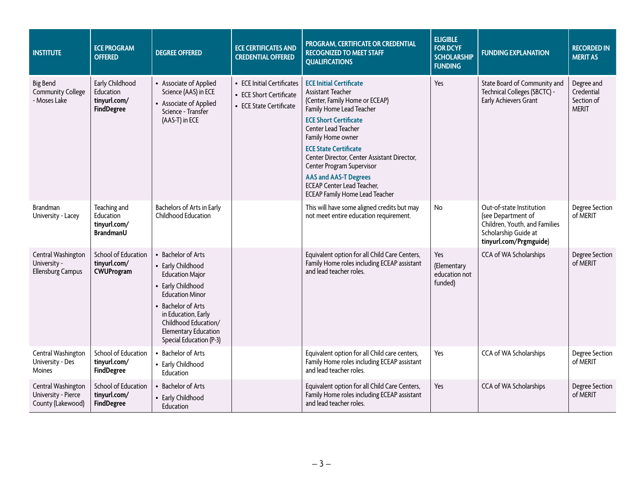| <b>INSTITUTE</b>                                               | <b>ECE PROGRAM</b><br><b>OFFERED</b>                              | <b>DEGREE OFFERED</b>                                                                                                                                                                                                                                | <b>ECE CERTIFICATES AND</b><br><b>CREDENTIAL OFFERED</b>                         | PROGRAM, CERTIFICATE OR CREDENTIAL<br><b>RECOGNIZED TO MEET STAFF</b><br><b>QUALIFICATIONS</b>                                                                                                                                                                                                                                                                                                                          | <b>ELIGIBLE</b><br><b>FOR DCYF</b><br><b>SCHOLARSHIP</b><br><b>FUNDING</b> | <b>FUNDING EXPLANATION</b>                                                                                                        | <b>RECORDED IN</b><br><b>MERIT AS</b>                  |
|----------------------------------------------------------------|-------------------------------------------------------------------|------------------------------------------------------------------------------------------------------------------------------------------------------------------------------------------------------------------------------------------------------|----------------------------------------------------------------------------------|-------------------------------------------------------------------------------------------------------------------------------------------------------------------------------------------------------------------------------------------------------------------------------------------------------------------------------------------------------------------------------------------------------------------------|----------------------------------------------------------------------------|-----------------------------------------------------------------------------------------------------------------------------------|--------------------------------------------------------|
| <b>Big Bend</b><br><b>Community College</b><br>- Moses Lake    | Early Childhood<br>Education<br>tinyurl.com/<br><b>FindDegree</b> | • Associate of Applied<br>Science (AAS) in ECE<br>• Associate of Applied<br>Science - Transfer<br>(AAS-T) in ECE                                                                                                                                     | • ECE Initial Certificates<br>• ECE Short Certificate<br>• ECE State Certificate | <b>ECE Initial Certificate</b><br>Assistant Teacher<br>(Center, Family Home or ECEAP)<br>Family Home Lead Teacher<br><b>ECE Short Certificate</b><br>Center Lead Teacher<br>Family Home owner<br><b>ECE State Certificate</b><br>Center Director, Center Assistant Director,<br>Center Program Supervisor<br><b>AAS and AAS-T Degrees</b><br><b>ECEAP Center Lead Teacher,</b><br><b>ECEAP Family Home Lead Teacher</b> | Yes                                                                        | State Board of Community and<br>Technical Colleges (SBCTC) -<br>Early Achievers Grant                                             | Degree and<br>Credential<br>Section of<br><b>MERIT</b> |
| Brandman<br>University - Lacey                                 | Teaching and<br>Education<br>tinyurl.com/<br><b>BrandmanU</b>     | Bachelors of Arts in Early<br>Childhood Education                                                                                                                                                                                                    |                                                                                  | This will have some aligned credits but may<br>not meet entire education requirement.                                                                                                                                                                                                                                                                                                                                   | No                                                                         | Out-of-state Institution<br>(see Department of<br>Children, Youth, and Families<br>Scholarship Guide at<br>tinyurl.com/Prgmguide) | Degree Section<br>of MERIT                             |
| Central Washington<br>University -<br>Ellensburg Campus        | School of Education<br>tinyurl.com/<br>CWUProgram                 | • Bachelor of Arts<br>• Early Childhood<br><b>Education Major</b><br>• Early Childhood<br><b>Education Minor</b><br><b>Bachelor of Arts</b><br>in Education, Early<br>Childhood Education/<br><b>Elementary Education</b><br>Special Education (P-3) |                                                                                  | Equivalent option for all Child Care Centers,<br>Family Home roles including ECEAP assistant<br>and lead teacher roles.                                                                                                                                                                                                                                                                                                 | Yes<br>(Elementary<br>education not<br>funded)                             | CCA of WA Scholarships                                                                                                            | <b>Degree Section</b><br>of MERIT                      |
| Central Washington<br>University - Des<br><b>Moines</b>        | School of Education<br>tinyurl.com/<br>FindDegree                 | • Bachelor of Arts<br>• Early Childhood<br>Education                                                                                                                                                                                                 |                                                                                  | Equivalent option for all Child care centers,<br>Family Home roles including ECEAP assistant<br>and lead teacher roles.                                                                                                                                                                                                                                                                                                 | Yes                                                                        | CCA of WA Scholarships                                                                                                            | <b>Degree Section</b><br>of MERIT                      |
| Central Washington<br>University - Pierce<br>County (Lakewood) | School of Education<br>tinyurl.com/<br><b>FindDegree</b>          | <b>Bachelor of Arts</b><br>• Early Childhood<br>Education                                                                                                                                                                                            |                                                                                  | Equivalent option for all Child Care Centers,<br>Family Home roles including ECEAP assistant<br>and lead teacher roles.                                                                                                                                                                                                                                                                                                 | Yes                                                                        | CCA of WA Scholarships                                                                                                            | Degree Section<br>of MERIT                             |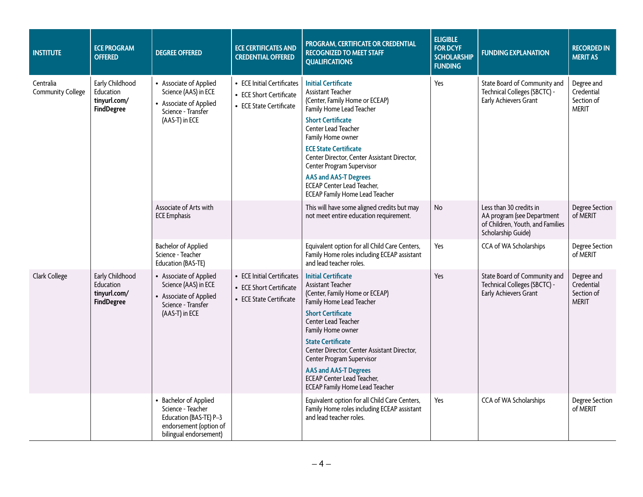| <b>INSTITUTE</b>                      | <b>ECE PROGRAM</b><br><b>OFFERED</b>                                  | <b>DEGREE OFFERED</b>                                                                                                         | <b>ECE CERTIFICATES AND</b><br><b>CREDENTIAL OFFERED</b>                                                                | PROGRAM, CERTIFICATE OR CREDENTIAL<br><b>RECOGNIZED TO MEET STAFF</b><br><b>QUALIFICATIONS</b>                                                                                                                                                                                                                                                                                                                     | <b>ELIGIBLE</b><br><b>FOR DCYF</b><br><b>SCHOLARSHIP</b><br><b>FUNDING</b> | <b>FUNDING EXPLANATION</b>                                                                                      | <b>RECORDED IN</b><br><b>MERIT AS</b>                  |
|---------------------------------------|-----------------------------------------------------------------------|-------------------------------------------------------------------------------------------------------------------------------|-------------------------------------------------------------------------------------------------------------------------|--------------------------------------------------------------------------------------------------------------------------------------------------------------------------------------------------------------------------------------------------------------------------------------------------------------------------------------------------------------------------------------------------------------------|----------------------------------------------------------------------------|-----------------------------------------------------------------------------------------------------------------|--------------------------------------------------------|
| Centralia<br><b>Community College</b> | Early Childhood<br>Education<br>tinyurl.com/<br><b>FindDegree</b>     | • Associate of Applied<br>Science (AAS) in ECE<br>• Associate of Applied<br>Science - Transfer<br>(AAS-T) in ECE              | • ECE Initial Certificates<br>• ECE Short Certificate<br>• ECE State Certificate                                        | <b>Initial Certificate</b><br>Assistant Teacher<br>(Center, Family Home or ECEAP)<br>Family Home Lead Teacher<br><b>Short Certificate</b><br>Center Lead Teacher<br>Family Home owner<br><b>ECE State Certificate</b><br>Center Director, Center Assistant Director,<br>Center Program Supervisor<br><b>AAS and AAS-T Degrees</b><br><b>ECEAP Center Lead Teacher,</b><br><b>ECEAP Family Home Lead Teacher</b>    | Yes                                                                        | State Board of Community and<br>Technical Colleges (SBCTC) -<br>Early Achievers Grant                           | Degree and<br>Credential<br>Section of<br><b>MERIT</b> |
|                                       |                                                                       | Associate of Arts with<br><b>ECE Emphasis</b>                                                                                 |                                                                                                                         | This will have some aligned credits but may<br>not meet entire education requirement.                                                                                                                                                                                                                                                                                                                              | <b>No</b>                                                                  | Less than 30 credits in<br>AA program (see Department<br>of Children, Youth, and Families<br>Scholarship Guide) | <b>Degree Section</b><br>of MERIT                      |
|                                       | <b>Bachelor of Applied</b><br>Science - Teacher<br>Education (BAS-TE) |                                                                                                                               | Equivalent option for all Child Care Centers,<br>Family Home roles including ECEAP assistant<br>and lead teacher roles. | Yes                                                                                                                                                                                                                                                                                                                                                                                                                | CCA of WA Scholarships                                                     | <b>Degree Section</b><br>of MERIT                                                                               |                                                        |
| Clark College                         | Early Childhood<br>Education<br>tinyurl.com/<br><b>FindDegree</b>     | • Associate of Applied<br>Science (AAS) in ECE<br>• Associate of Applied<br>Science - Transfer<br>(AAS-T) in ECE              | • ECE Initial Certificates<br>• ECE Short Certificate<br>• ECE State Certificate                                        | <b>Initial Certificate</b><br>Assistant Teacher<br>(Center, Family Home or ECEAP)<br>Family Home Lead Teacher<br><b>Short Certificate</b><br><b>Center Lead Teacher</b><br>Family Home owner<br><b>State Certificate</b><br>Center Director, Center Assistant Director,<br>Center Program Supervisor<br><b>AAS and AAS-T Degrees</b><br><b>ECEAP Center Lead Teacher.</b><br><b>ECEAP Family Home Lead Teacher</b> | Yes                                                                        | State Board of Community and<br>Technical Colleges (SBCTC) -<br>Early Achievers Grant                           | Degree and<br>Credential<br>Section of<br><b>MERIT</b> |
|                                       |                                                                       | <b>Bachelor of Applied</b><br>Science - Teacher<br>Education (BAS-TE) P-3<br>endorsement (option of<br>bilingual endorsement) |                                                                                                                         | Equivalent option for all Child Care Centers,<br>Family Home roles including ECEAP assistant<br>and lead teacher roles.                                                                                                                                                                                                                                                                                            | Yes                                                                        | CCA of WA Scholarships                                                                                          | <b>Degree Section</b><br>of MERIT                      |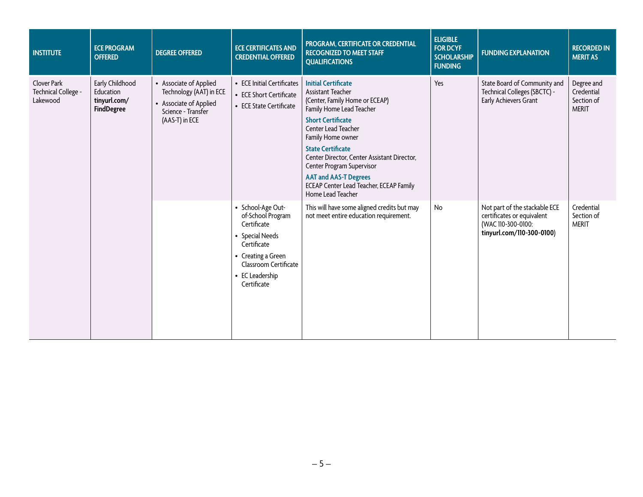| <b>INSTITUTE</b>                               | <b>ECE PROGRAM</b><br><b>OFFERED</b>                              | <b>DEGREE OFFERED</b>                                                                                               | <b>ECE CERTIFICATES AND</b><br><b>CREDENTIAL OFFERED</b>                                                                                                                 | PROGRAM, CERTIFICATE OR CREDENTIAL<br><b>RECOGNIZED TO MEET STAFF</b><br><b>QUALIFICATIONS</b>                                                                                                                                                                                                                                                                                                | <b>ELIGIBLE</b><br><b>FOR DCYF</b><br><b>SCHOLARSHIP</b><br><b>FUNDING</b> | <b>FUNDING EXPLANATION</b>                                                                                     | <b>RECORDED IN</b><br><b>MERIT AS</b>                  |
|------------------------------------------------|-------------------------------------------------------------------|---------------------------------------------------------------------------------------------------------------------|--------------------------------------------------------------------------------------------------------------------------------------------------------------------------|-----------------------------------------------------------------------------------------------------------------------------------------------------------------------------------------------------------------------------------------------------------------------------------------------------------------------------------------------------------------------------------------------|----------------------------------------------------------------------------|----------------------------------------------------------------------------------------------------------------|--------------------------------------------------------|
| Clover Park<br>Technical College -<br>Lakewood | Early Childhood<br>Education<br>tinyurl.com/<br><b>FindDegree</b> | • Associate of Applied<br>Technology (AAT) in ECE<br>• Associate of Applied<br>Science - Transfer<br>(AAS-T) in ECE | • ECE Initial Certificates<br>• ECE Short Certificate<br>• ECE State Certificate                                                                                         | <b>Initial Certificate</b><br>Assistant Teacher<br>(Center, Family Home or ECEAP)<br>Family Home Lead Teacher<br><b>Short Certificate</b><br>Center Lead Teacher<br>Family Home owner<br><b>State Certificate</b><br>Center Director, Center Assistant Director,<br>Center Program Supervisor<br><b>AAT and AAS-T Degrees</b><br>ECEAP Center Lead Teacher, ECEAP Family<br>Home Lead Teacher | Yes                                                                        | State Board of Community and<br>Technical Colleges (SBCTC) -<br>Early Achievers Grant                          | Degree and<br>Credential<br>Section of<br><b>MERIT</b> |
|                                                |                                                                   |                                                                                                                     | • School-Age Out-<br>of-School Program<br>Certificate<br>• Special Needs<br>Certificate<br>• Creating a Green<br>Classroom Certificate<br>• EC Leadership<br>Certificate | This will have some aligned credits but may<br>not meet entire education requirement.                                                                                                                                                                                                                                                                                                         | No                                                                         | Not part of the stackable ECE<br>certificates or equivalent<br>(WAC 110-300-0100:<br>tinyurl.com/110-300-0100) | Credential<br>Section of<br><b>MERIT</b>               |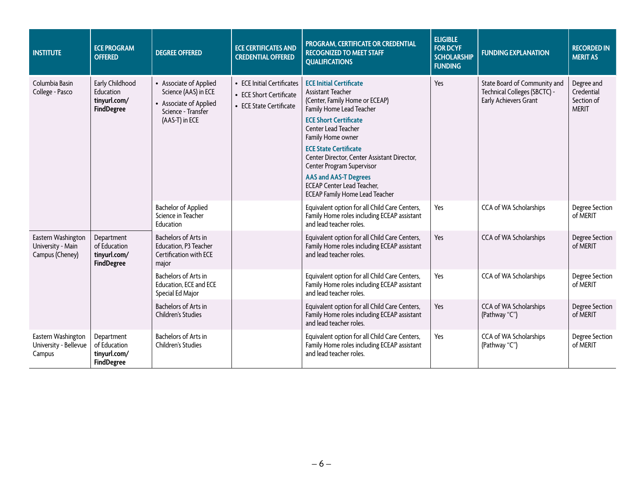| <b>INSTITUTE</b>                                           | <b>ECE PROGRAM</b><br><b>OFFERED</b>                              | <b>DEGREE OFFERED</b>                                                                                            | <b>ECE CERTIFICATES AND</b><br><b>CREDENTIAL OFFERED</b>                         | PROGRAM, CERTIFICATE OR CREDENTIAL<br><b>RECOGNIZED TO MEET STAFF</b><br><b>QUALIFICATIONS</b>                                                                                                                                                                                                                                                                                                                                 | <b>ELIGIBLE</b><br><b>FOR DCYF</b><br><b>SCHOLARSHIP</b><br><b>FUNDING</b> | <b>FUNDING EXPLANATION</b>                                                            | <b>RECORDED IN</b><br><b>MERIT AS</b>                  |
|------------------------------------------------------------|-------------------------------------------------------------------|------------------------------------------------------------------------------------------------------------------|----------------------------------------------------------------------------------|--------------------------------------------------------------------------------------------------------------------------------------------------------------------------------------------------------------------------------------------------------------------------------------------------------------------------------------------------------------------------------------------------------------------------------|----------------------------------------------------------------------------|---------------------------------------------------------------------------------------|--------------------------------------------------------|
| Columbia Basin<br>College - Pasco                          | Early Childhood<br>Education<br>tinyurl.com/<br><b>FindDegree</b> | • Associate of Applied<br>Science (AAS) in ECE<br>• Associate of Applied<br>Science - Transfer<br>(AAS-T) in ECE | • ECE Initial Certificates<br>• ECE Short Certificate<br>• ECE State Certificate | <b>ECE Initial Certificate</b><br><b>Assistant Teacher</b><br>(Center, Family Home or ECEAP)<br>Family Home Lead Teacher<br><b>ECE Short Certificate</b><br>Center Lead Teacher<br>Family Home owner<br><b>ECE State Certificate</b><br>Center Director, Center Assistant Director,<br>Center Program Supervisor<br><b>AAS and AAS-T Degrees</b><br><b>ECEAP Center Lead Teacher,</b><br><b>ECEAP Family Home Lead Teacher</b> | Yes                                                                        | State Board of Community and<br>Technical Colleges (SBCTC) -<br>Early Achievers Grant | Degree and<br>Credential<br>Section of<br><b>MERIT</b> |
|                                                            |                                                                   | <b>Bachelor of Applied</b><br>Science in Teacher<br>Education                                                    |                                                                                  | Equivalent option for all Child Care Centers,<br>Family Home roles including ECEAP assistant<br>and lead teacher roles.                                                                                                                                                                                                                                                                                                        | Yes                                                                        | CCA of WA Scholarships                                                                | Degree Section<br>of MERIT                             |
| Eastern Washington<br>University - Main<br>Campus (Cheney) | Department<br>of Education<br>tinyurl.com/<br><b>FindDegree</b>   | Bachelors of Arts in<br>Education, P3 Teacher<br>Certification with ECE<br>major                                 |                                                                                  | Equivalent option for all Child Care Centers,<br>Family Home roles including ECEAP assistant<br>and lead teacher roles.                                                                                                                                                                                                                                                                                                        | Yes                                                                        | CCA of WA Scholarships                                                                | <b>Degree Section</b><br>of MERIT                      |
|                                                            |                                                                   | Bachelors of Arts in<br>Education, ECE and ECE<br>Special Ed Major                                               |                                                                                  | Equivalent option for all Child Care Centers,<br>Family Home roles including ECEAP assistant<br>and lead teacher roles.                                                                                                                                                                                                                                                                                                        | Yes                                                                        | CCA of WA Scholarships                                                                | <b>Degree Section</b><br>of MERIT                      |
|                                                            |                                                                   | Bachelors of Arts in<br>Children's Studies                                                                       |                                                                                  | Equivalent option for all Child Care Centers,<br>Family Home roles including ECEAP assistant<br>and lead teacher roles.                                                                                                                                                                                                                                                                                                        | Yes                                                                        | CCA of WA Scholarships<br>(Pathway "C")                                               | <b>Degree Section</b><br>of MERIT                      |
| Eastern Washington<br>University - Bellevue<br>Campus      | Department<br>of Education<br>tinyurl.com/<br><b>FindDegree</b>   | <b>Bachelors of Arts in</b><br>Children's Studies                                                                |                                                                                  | Equivalent option for all Child Care Centers,<br>Family Home roles including ECEAP assistant<br>and lead teacher roles.                                                                                                                                                                                                                                                                                                        | Yes                                                                        | CCA of WA Scholarships<br>(Pathway "C")                                               | <b>Degree Section</b><br>of MERIT                      |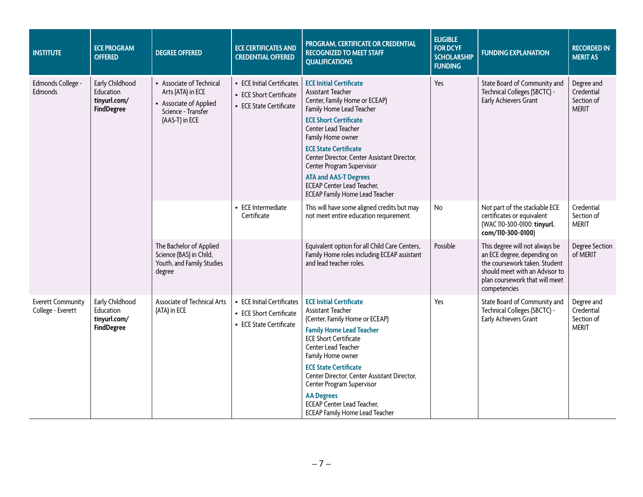| <b>INSTITUTE</b>                                                                                  | <b>ECE PROGRAM</b><br><b>OFFERED</b>                              | <b>DEGREE OFFERED</b>                                                                                           | <b>ECE CERTIFICATES AND</b><br><b>CREDENTIAL OFFERED</b>                         | PROGRAM, CERTIFICATE OR CREDENTIAL<br><b>RECOGNIZED TO MEET STAFF</b><br><b>QUALIFICATIONS</b>                                                                                                                                                                                                                                                                                                                         | <b>ELIGIBLE</b><br><b>FOR DCYF</b><br><b>SCHOLARSHIP</b><br><b>FUNDING</b> | <b>FUNDING EXPLANATION</b>                                                                                                                                                         | <b>RECORDED IN</b><br><b>MERIT AS</b>                  |
|---------------------------------------------------------------------------------------------------|-------------------------------------------------------------------|-----------------------------------------------------------------------------------------------------------------|----------------------------------------------------------------------------------|------------------------------------------------------------------------------------------------------------------------------------------------------------------------------------------------------------------------------------------------------------------------------------------------------------------------------------------------------------------------------------------------------------------------|----------------------------------------------------------------------------|------------------------------------------------------------------------------------------------------------------------------------------------------------------------------------|--------------------------------------------------------|
| Early Childhood<br>Edmonds College -<br>Edmonds<br>Education<br>tinyurl.com/<br><b>FindDegree</b> |                                                                   | • Associate of Technical<br>Arts (ATA) in ECE<br>• Associate of Applied<br>Science - Transfer<br>(AAS-T) in ECE | • ECE Initial Certificates<br>• ECE Short Certificate<br>• ECE State Certificate | <b>ECE Initial Certificate</b><br>Assistant Teacher<br>Center, Family Home or ECEAP)<br>Family Home Lead Teacher<br><b>ECE Short Certificate</b><br>Center Lead Teacher<br>Family Home owner<br><b>ECE State Certificate</b><br>Center Director, Center Assistant Director,<br>Center Program Supervisor<br><b>ATA and AAS-T Degrees</b><br><b>ECEAP Center Lead Teacher,</b><br><b>ECEAP Family Home Lead Teacher</b> | Yes                                                                        | State Board of Community and<br>Technical Colleges (SBCTC) -<br>Early Achievers Grant                                                                                              | Degree and<br>Credential<br>Section of<br><b>MERIT</b> |
|                                                                                                   |                                                                   |                                                                                                                 | • ECE Intermediate<br>Certificate                                                | This will have some aligned credits but may<br>not meet entire education requirement.                                                                                                                                                                                                                                                                                                                                  | No                                                                         | Not part of the stackable ECE<br>certificates or equivalent<br>(WAC 110-300-0100: tinyurl.<br>com/110-300-0100)                                                                    | Credential<br>Section of<br><b>MERIT</b>               |
|                                                                                                   |                                                                   | The Bachelor of Applied<br>Science (BAS) in Child,<br>Youth, and Family Studies<br>degree                       |                                                                                  | Equivalent option for all Child Care Centers,<br>Family Home roles including ECEAP assistant<br>and lead teacher roles.                                                                                                                                                                                                                                                                                                | Possible                                                                   | This degree will not always be<br>an ECE degree, depending on<br>the coursework taken. Student<br>should meet with an Advisor to<br>plan coursework that will meet<br>competencies | <b>Degree Section</b><br>of MERIT                      |
| <b>Everett Community</b><br>College - Everett                                                     | Early Childhood<br>Education<br>tinyurl.com/<br><b>FindDegree</b> | Associate of Technical Arts<br>(ATA) in ECE                                                                     | • ECE Initial Certificates<br>• ECE Short Certificate<br>• ECE State Certificate | <b>ECE Initial Certificate</b><br>Assistant Teacher<br>(Center, Family Home or ECEAP)<br><b>Family Home Lead Teacher</b><br><b>ECE Short Certificate</b><br>Center Lead Teacher<br>Family Home owner<br><b>ECE State Certificate</b><br>Center Director, Center Assistant Director,<br>Center Program Supervisor<br><b>AA Degrees</b><br><b>ECEAP Center Lead Teacher,</b><br><b>ECEAP Family Home Lead Teacher</b>    | Yes                                                                        | State Board of Community and<br>Technical Colleges (SBCTC) -<br>Early Achievers Grant                                                                                              | Degree and<br>Credential<br>Section of<br><b>MERIT</b> |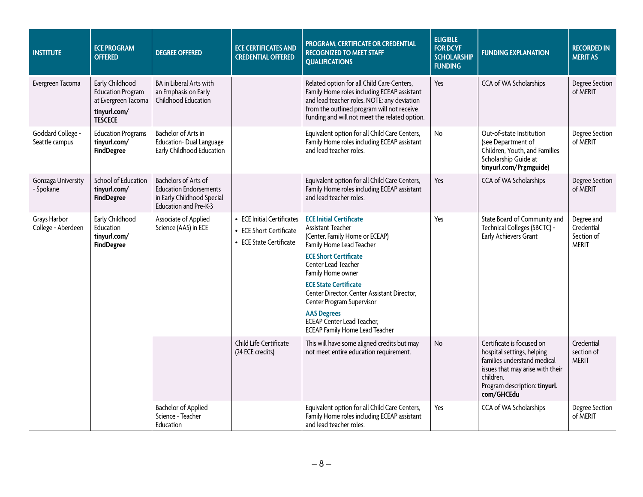| <b>INSTITUTE</b>                                                                                        | <b>ECE PROGRAM</b><br><b>OFFERED</b>                                                                 | <b>DEGREE OFFERED</b>                                                                                               | <b>ECE CERTIFICATES AND</b><br><b>CREDENTIAL OFFERED</b>                         | PROGRAM, CERTIFICATE OR CREDENTIAL<br><b>RECOGNIZED TO MEET STAFF</b><br><b>QUALIFICATIONS</b>                                                                                                                                                                                                                                                                                                                | <b>ELIGIBLE</b><br><b>FOR DCYF</b><br><b>SCHOLARSHIP</b><br><b>FUNDING</b> | <b>FUNDING EXPLANATION</b>                                                                                                                                                             | <b>RECORDED IN</b><br><b>MERIT AS</b>                  |
|---------------------------------------------------------------------------------------------------------|------------------------------------------------------------------------------------------------------|---------------------------------------------------------------------------------------------------------------------|----------------------------------------------------------------------------------|---------------------------------------------------------------------------------------------------------------------------------------------------------------------------------------------------------------------------------------------------------------------------------------------------------------------------------------------------------------------------------------------------------------|----------------------------------------------------------------------------|----------------------------------------------------------------------------------------------------------------------------------------------------------------------------------------|--------------------------------------------------------|
| Evergreen Tacoma                                                                                        | Early Childhood<br><b>Education Program</b><br>at Evergreen Tacoma<br>tinyurl.com/<br><b>TESCECE</b> | BA in Liberal Arts with<br>an Emphasis on Early<br>Childhood Education                                              |                                                                                  | Related option for all Child Care Centers,<br>Family Home roles including ECEAP assistant<br>and lead teacher roles. NOTE: any deviation<br>from the outlined program will not receive<br>funding and will not meet the related option.                                                                                                                                                                       | Yes                                                                        | CCA of WA Scholarships                                                                                                                                                                 | Degree Section<br>of MERIT                             |
| Goddard College -<br>Seattle campus                                                                     | <b>Education Programs</b><br>tinyurl.com/<br><b>FindDegree</b>                                       | <b>Bachelor of Arts in</b><br>Education-Dual Language<br>Early Childhood Education                                  |                                                                                  | Equivalent option for all Child Care Centers,<br>Family Home roles including ECEAP assistant<br>and lead teacher roles.                                                                                                                                                                                                                                                                                       | No                                                                         | Out-of-state Institution<br>(see Department of<br>Children, Youth, and Families<br>Scholarship Guide at<br>tinyurl.com/Prgmguide)                                                      | <b>Degree Section</b><br>of MERIT                      |
| Gonzaga University<br>- Spokane                                                                         | School of Education<br>tinyurl.com/<br><b>FindDegree</b>                                             | <b>Bachelors of Arts of</b><br><b>Education Endorsements</b><br>in Early Childhood Special<br>Education and Pre-K-3 |                                                                                  | Equivalent option for all Child Care Centers,<br>Family Home roles including ECEAP assistant<br>and lead teacher roles.                                                                                                                                                                                                                                                                                       | Yes                                                                        | CCA of WA Scholarships                                                                                                                                                                 | Degree Section<br>of MERIT                             |
| Early Childhood<br>Grays Harbor<br>College - Aberdeen<br>Education<br>tinyurl.com/<br><b>FindDegree</b> |                                                                                                      | Associate of Applied<br>Science (AAS) in ECE                                                                        | • ECE Initial Certificates<br>• ECE Short Certificate<br>• ECE State Certificate | <b>ECE Initial Certificate</b><br>Assistant Teacher<br>(Center, Family Home or ECEAP)<br>Family Home Lead Teacher<br><b>ECE Short Certificate</b><br>Center Lead Teacher<br>Family Home owner<br><b>ECE State Certificate</b><br>Center Director, Center Assistant Director,<br>Center Program Supervisor<br><b>AAS Degrees</b><br><b>ECEAP Center Lead Teacher,</b><br><b>ECEAP Family Home Lead Teacher</b> | Yes                                                                        | State Board of Community and<br>Technical Colleges (SBCTC) -<br>Early Achievers Grant                                                                                                  | Degree and<br>Credential<br>Section of<br><b>MERIT</b> |
|                                                                                                         |                                                                                                      |                                                                                                                     | Child Life Certificate<br>(24 ECE credits)                                       | This will have some aligned credits but may<br>not meet entire education requirement.                                                                                                                                                                                                                                                                                                                         | <b>No</b>                                                                  | Certificate is focused on<br>hospital settings, helping<br>families understand medical<br>issues that may arise with their<br>children.<br>Program description: tinyurl.<br>com/GHCEdu | Credential<br>section of<br><b>MERIT</b>               |
|                                                                                                         |                                                                                                      | <b>Bachelor of Applied</b><br>Science - Teacher<br>Education                                                        |                                                                                  | Equivalent option for all Child Care Centers,<br>Family Home roles including ECEAP assistant<br>and lead teacher roles.                                                                                                                                                                                                                                                                                       | Yes                                                                        | CCA of WA Scholarships                                                                                                                                                                 | <b>Degree Section</b><br>of MERIT                      |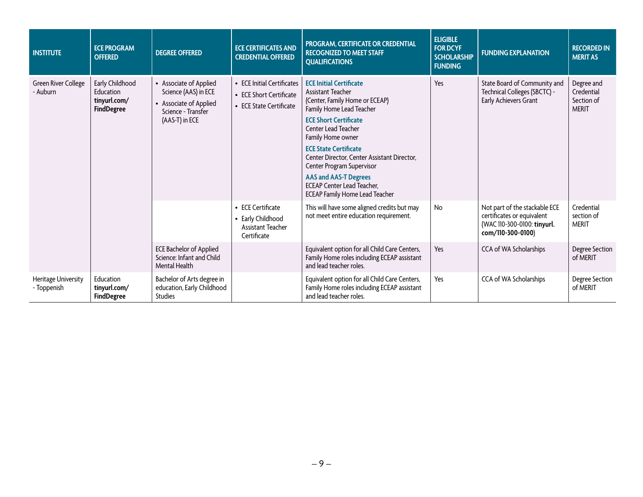| <b>INSTITUTE</b>                   | <b>ECE PROGRAM</b><br><b>OFFERED</b>                              | <b>DEGREE OFFERED</b>                                                                                            | <b>ECE CERTIFICATES AND</b><br><b>CREDENTIAL OFFERED</b>                              | PROGRAM, CERTIFICATE OR CREDENTIAL<br><b>RECOGNIZED TO MEET STAFF</b><br><b>QUALIFICATIONS</b>                                                                                                                                                                                                                                                                                                                                        | <b>ELIGIBLE</b><br><b>FOR DCYF</b><br><b>SCHOLARSHIP</b><br><b>FUNDING</b>                                      | <b>FUNDING EXPLANATION</b>                                                            | <b>RECORDED IN</b><br><b>MERIT AS</b>                  |
|------------------------------------|-------------------------------------------------------------------|------------------------------------------------------------------------------------------------------------------|---------------------------------------------------------------------------------------|---------------------------------------------------------------------------------------------------------------------------------------------------------------------------------------------------------------------------------------------------------------------------------------------------------------------------------------------------------------------------------------------------------------------------------------|-----------------------------------------------------------------------------------------------------------------|---------------------------------------------------------------------------------------|--------------------------------------------------------|
| Green River College<br>- Auburn    | Early Childhood<br>Education<br>tinyurl.com/<br><b>FindDegree</b> | • Associate of Applied<br>Science (AAS) in ECE<br>• Associate of Applied<br>Science - Transfer<br>(AAS-T) in ECE | • ECE Initial Certificates<br>• ECE Short Certificate<br>• ECE State Certificate      | <b>ECE Initial Certificate</b><br><b>Assistant Teacher</b><br>(Center, Family Home or ECEAP)<br>Family Home Lead Teacher<br><b>ECE Short Certificate</b><br><b>Center Lead Teacher</b><br>Family Home owner<br><b>ECE State Certificate</b><br>Center Director, Center Assistant Director,<br>Center Program Supervisor<br><b>AAS and AAS-T Degrees</b><br><b>ECEAP Center Lead Teacher,</b><br><b>ECEAP Family Home Lead Teacher</b> | Yes                                                                                                             | State Board of Community and<br>Technical Colleges (SBCTC) -<br>Early Achievers Grant | Degree and<br>Credential<br>Section of<br><b>MERIT</b> |
|                                    |                                                                   | • ECE Certificate<br>• Early Childhood<br><b>Assistant Teacher</b><br>Certificate                                | This will have some aligned credits but may<br>not meet entire education requirement. | No                                                                                                                                                                                                                                                                                                                                                                                                                                    | Not part of the stackable ECE<br>certificates or equivalent<br>(WAC 110-300-0100: tinyurl.<br>com/110-300-0100) | Credential<br>section of<br><b>MERIT</b>                                              |                                                        |
|                                    |                                                                   | <b>ECE Bachelor of Applied</b><br>Science: Infant and Child<br><b>Mental Health</b>                              |                                                                                       | Equivalent option for all Child Care Centers,<br>Family Home roles including ECEAP assistant<br>and lead teacher roles.                                                                                                                                                                                                                                                                                                               | Yes                                                                                                             | CCA of WA Scholarships                                                                | <b>Degree Section</b><br>of MERIT                      |
| Heritage University<br>- Toppenish | Education<br>tinyurl.com/<br><b>FindDegree</b>                    | Bachelor of Arts degree in<br>education, Early Childhood<br><b>Studies</b>                                       |                                                                                       | Equivalent option for all Child Care Centers,<br>Family Home roles including ECEAP assistant<br>and lead teacher roles.                                                                                                                                                                                                                                                                                                               | Yes                                                                                                             | CCA of WA Scholarships                                                                | Degree Section<br>of MERIT                             |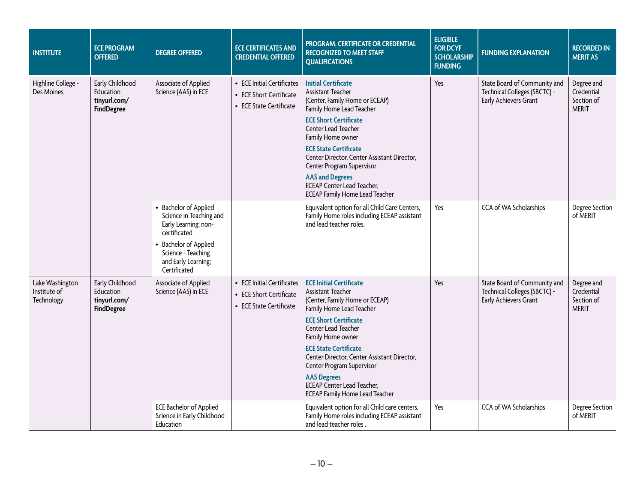| <b>INSTITUTE</b>                                                                                      | <b>ECE PROGRAM</b><br><b>OFFERED</b>                                                                                                                                           | <b>DEGREE OFFERED</b>                                                            | <b>ECE CERTIFICATES AND</b><br><b>CREDENTIAL OFFERED</b>                                                                                                                                                                                                                                                                                                                                                             | PROGRAM, CERTIFICATE OR CREDENTIAL<br><b>RECOGNIZED TO MEET STAFF</b><br><b>QUALIFICATIONS</b>                                                                                                                                                                                                                                                                                                                       | <b>ELIGIBLE</b><br><b>FOR DCYF</b><br><b>SCHOLARSHIP</b><br><b>FUNDING</b>            | <b>FUNDING EXPLANATION</b>                                                            | <b>RECORDED IN</b><br><b>MERIT AS</b>                  |
|-------------------------------------------------------------------------------------------------------|--------------------------------------------------------------------------------------------------------------------------------------------------------------------------------|----------------------------------------------------------------------------------|----------------------------------------------------------------------------------------------------------------------------------------------------------------------------------------------------------------------------------------------------------------------------------------------------------------------------------------------------------------------------------------------------------------------|----------------------------------------------------------------------------------------------------------------------------------------------------------------------------------------------------------------------------------------------------------------------------------------------------------------------------------------------------------------------------------------------------------------------|---------------------------------------------------------------------------------------|---------------------------------------------------------------------------------------|--------------------------------------------------------|
| Early Childhood<br>Highline College -<br>Education<br>Des Moines<br>tinyurl.com/<br><b>FindDegree</b> | Associate of Applied<br>Science (AAS) in ECE                                                                                                                                   | • ECE Initial Certificates<br>• ECE Short Certificate<br>• ECE State Certificate | <b>Initial Certificate</b><br>Assistant Teacher<br>(Center, Family Home or ECEAP)<br>Family Home Lead Teacher<br><b>ECE Short Certificate</b><br><b>Center Lead Teacher</b><br>Family Home owner<br><b>ECE State Certificate</b><br>Center Director, Center Assistant Director,<br>Center Program Supervisor<br><b>AAS and Degrees</b><br><b>ECEAP Center Lead Teacher,</b><br><b>ECEAP Family Home Lead Teacher</b> | Yes                                                                                                                                                                                                                                                                                                                                                                                                                  | State Board of Community and<br>Technical Colleges (SBCTC) -<br>Early Achievers Grant | Degree and<br>Credential<br>Section of<br><b>MERIT</b>                                |                                                        |
|                                                                                                       | • Bachelor of Applied<br>Science in Teaching and<br>Early Learning; non-<br>certificated<br>• Bachelor of Applied<br>Science - Teaching<br>and Early Learning;<br>Certificated |                                                                                  | Equivalent option for all Child Care Centers,<br>Family Home roles including ECEAP assistant<br>and lead teacher roles.                                                                                                                                                                                                                                                                                              | Yes                                                                                                                                                                                                                                                                                                                                                                                                                  | CCA of WA Scholarships                                                                | <b>Degree Section</b><br>of MERIT                                                     |                                                        |
| Lake Washington<br>Institute of<br>Technology                                                         | Early Childhood<br>Education<br>tinyurl.com/<br><b>FindDegree</b>                                                                                                              | Associate of Applied<br>Science (AAS) in ECE                                     | • ECE Initial Certificates<br>• ECE Short Certificate<br>• ECE State Certificate                                                                                                                                                                                                                                                                                                                                     | <b>ECE Initial Certificate</b><br>Assistant Teacher<br>(Center, Family Home or ECEAP)<br>Family Home Lead Teacher<br><b>ECE Short Certificate</b><br><b>Center Lead Teacher</b><br>Family Home owner<br><b>ECE State Certificate</b><br>Center Director, Center Assistant Director,<br>Center Program Supervisor<br><b>AAS Degrees</b><br><b>ECEAP Center Lead Teacher,</b><br><b>ECEAP Family Home Lead Teacher</b> | Yes                                                                                   | State Board of Community and<br>Technical Colleges (SBCTC) -<br>Early Achievers Grant | Degree and<br>Credential<br>Section of<br><b>MERIT</b> |
|                                                                                                       |                                                                                                                                                                                | <b>ECE Bachelor of Applied</b><br>Science in Early Childhood<br>Education        |                                                                                                                                                                                                                                                                                                                                                                                                                      | Equivalent option for all Child care centers,<br>Family Home roles including ECEAP assistant<br>and lead teacher roles.                                                                                                                                                                                                                                                                                              | Yes                                                                                   | CCA of WA Scholarships                                                                | Degree Section<br>of MERIT                             |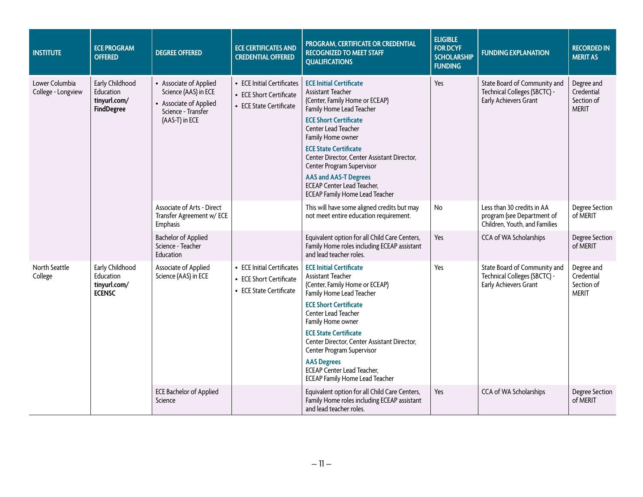| <b>INSTITUTE</b>                     | <b>ECE PROGRAM</b><br><b>OFFERED</b>                              | <b>DEGREE OFFERED</b>                                                                                            | <b>ECE CERTIFICATES AND</b><br><b>CREDENTIAL OFFERED</b>                         | PROGRAM, CERTIFICATE OR CREDENTIAL<br><b>RECOGNIZED TO MEET STAFF</b><br><b>QUALIFICATIONS</b>                                                                                                                                                                                                                                                                                                                          | <b>ELIGIBLE</b><br><b>FOR DCYF</b><br><b>SCHOLARSHIP</b><br><b>FUNDING</b> | <b>FUNDING EXPLANATION</b>                                                                | <b>RECORDED IN</b><br><b>MERIT AS</b>                  |
|--------------------------------------|-------------------------------------------------------------------|------------------------------------------------------------------------------------------------------------------|----------------------------------------------------------------------------------|-------------------------------------------------------------------------------------------------------------------------------------------------------------------------------------------------------------------------------------------------------------------------------------------------------------------------------------------------------------------------------------------------------------------------|----------------------------------------------------------------------------|-------------------------------------------------------------------------------------------|--------------------------------------------------------|
| Lower Columbia<br>College - Longview | Early Childhood<br>Education<br>tinyurl.com/<br><b>FindDegree</b> | • Associate of Applied<br>Science (AAS) in ECE<br>• Associate of Applied<br>Science - Transfer<br>(AAS-T) in ECE | • ECE Initial Certificates<br>• ECE Short Certificate<br>• ECE State Certificate | <b>ECE Initial Certificate</b><br>Assistant Teacher<br>(Center, Family Home or ECEAP)<br>Family Home Lead Teacher<br><b>ECE Short Certificate</b><br>Center Lead Teacher<br>Family Home owner<br><b>ECE State Certificate</b><br>Center Director, Center Assistant Director,<br>Center Program Supervisor<br><b>AAS and AAS-T Degrees</b><br><b>ECEAP Center Lead Teacher,</b><br><b>ECEAP Family Home Lead Teacher</b> | Yes                                                                        | State Board of Community and<br>Technical Colleges (SBCTC) -<br>Early Achievers Grant     | Degree and<br>Credential<br>Section of<br><b>MERIT</b> |
|                                      |                                                                   | Associate of Arts - Direct<br>Transfer Agreement w/ ECE<br>Emphasis                                              |                                                                                  | This will have some aligned credits but may<br>not meet entire education requirement.                                                                                                                                                                                                                                                                                                                                   | No                                                                         | Less than 30 credits in AA<br>program (see Department of<br>Children, Youth, and Families | <b>Degree Section</b><br>of MERIT                      |
|                                      | <b>Bachelor of Applied</b><br>Science - Teacher<br>Education      |                                                                                                                  |                                                                                  | Equivalent option for all Child Care Centers,<br>Family Home roles including ECEAP assistant<br>and lead teacher roles.                                                                                                                                                                                                                                                                                                 | Yes                                                                        | CCA of WA Scholarships                                                                    | <b>Degree Section</b><br>of MERIT                      |
| North Seattle<br>College             | Early Childhood<br>Education<br>tinyurl.com/<br><b>ECENSC</b>     | Associate of Applied<br>Science (AAS) in ECE                                                                     | • ECE Initial Certificates<br>• ECE Short Certificate<br>• ECE State Certificate | <b>ECE Initial Certificate</b><br>Assistant Teacher<br>(Center, Family Home or ECEAP)<br>Family Home Lead Teacher<br><b>ECE Short Certificate</b><br>Center Lead Teacher<br>Family Home owner<br><b>ECE State Certificate</b><br>Center Director, Center Assistant Director,<br>Center Program Supervisor<br><b>AAS Degrees</b><br><b>ECEAP Center Lead Teacher,</b><br><b>ECEAP Family Home Lead Teacher</b>           | Yes                                                                        | State Board of Community and<br>Technical Colleges (SBCTC) -<br>Early Achievers Grant     | Degree and<br>Credential<br>Section of<br><b>MERIT</b> |
|                                      |                                                                   | <b>ECE Bachelor of Applied</b><br>Science                                                                        |                                                                                  | Equivalent option for all Child Care Centers,<br>Family Home roles including ECEAP assistant<br>and lead teacher roles.                                                                                                                                                                                                                                                                                                 | Yes                                                                        | CCA of WA Scholarships                                                                    | <b>Degree Section</b><br>of MERIT                      |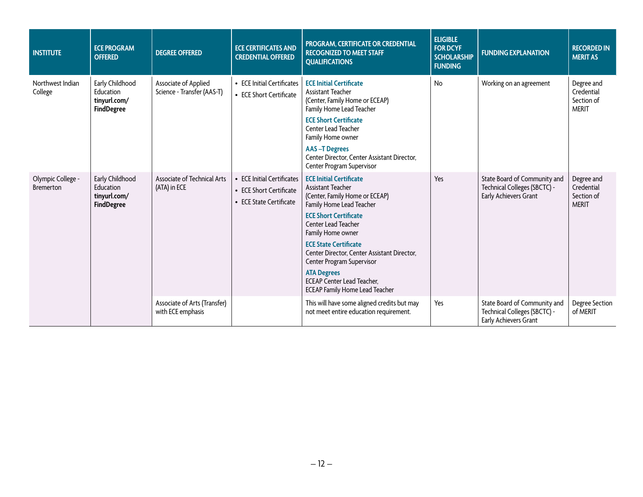| <b>INSTITUTE</b>                      | <b>ECE PROGRAM</b><br><b>OFFERED</b>                              | <b>DEGREE OFFERED</b>                              | <b>ECE CERTIFICATES AND</b><br><b>CREDENTIAL OFFERED</b>                              | PROGRAM, CERTIFICATE OR CREDENTIAL<br><b>RECOGNIZED TO MEET STAFF</b><br><b>QUALIFICATIONS</b>                                                                                                                                                                                                                                                                                                                | <b>ELIGIBLE</b><br><b>FOR DCYF</b><br><b>SCHOLARSHIP</b><br><b>FUNDING</b> | <b>FUNDING EXPLANATION</b>                                                            | <b>RECORDED IN</b><br><b>MERIT AS</b>                  |
|---------------------------------------|-------------------------------------------------------------------|----------------------------------------------------|---------------------------------------------------------------------------------------|---------------------------------------------------------------------------------------------------------------------------------------------------------------------------------------------------------------------------------------------------------------------------------------------------------------------------------------------------------------------------------------------------------------|----------------------------------------------------------------------------|---------------------------------------------------------------------------------------|--------------------------------------------------------|
| Northwest Indian<br>College           | Early Childhood<br>Education<br>tinyurl.com/<br>FindDegree        | Associate of Applied<br>Science - Transfer (AAS-T) | • ECE Initial Certificates<br>• ECE Short Certificate                                 | <b>ECE Initial Certificate</b><br><b>Assistant Teacher</b><br>(Center, Family Home or ECEAP)<br>Family Home Lead Teacher<br><b>ECE Short Certificate</b><br>Center Lead Teacher<br>Family Home owner<br><b>AAS-T Degrees</b><br>Center Director, Center Assistant Director,<br>Center Program Supervisor                                                                                                      | No                                                                         | Working on an agreement                                                               | Degree and<br>Credential<br>Section of<br><b>MERIT</b> |
| Olympic College -<br><b>Bremerton</b> | Early Childhood<br>Education<br>tinyurl.com/<br><b>FindDegree</b> | Associate of Technical Arts<br>(ATA) in ECE        | <b>ECE Initial Certificates</b><br>• ECE Short Certificate<br>• ECE State Certificate | <b>ECE Initial Certificate</b><br>Assistant Teacher<br>(Center, Family Home or ECEAP)<br>Family Home Lead Teacher<br><b>ECE Short Certificate</b><br>Center Lead Teacher<br>Family Home owner<br><b>ECE State Certificate</b><br>Center Director, Center Assistant Director,<br>Center Program Supervisor<br><b>ATA Degrees</b><br><b>ECEAP Center Lead Teacher,</b><br><b>ECEAP Family Home Lead Teacher</b> | Yes                                                                        | State Board of Community and<br>Technical Colleges (SBCTC) -<br>Early Achievers Grant | Degree and<br>Credential<br>Section of<br><b>MERIT</b> |
|                                       |                                                                   | Associate of Arts (Transfer)<br>with ECE emphasis  |                                                                                       | This will have some aligned credits but may<br>not meet entire education requirement.                                                                                                                                                                                                                                                                                                                         | Yes                                                                        | State Board of Community and<br>Technical Colleges (SBCTC) -<br>Early Achievers Grant | <b>Degree Section</b><br>of MERIT                      |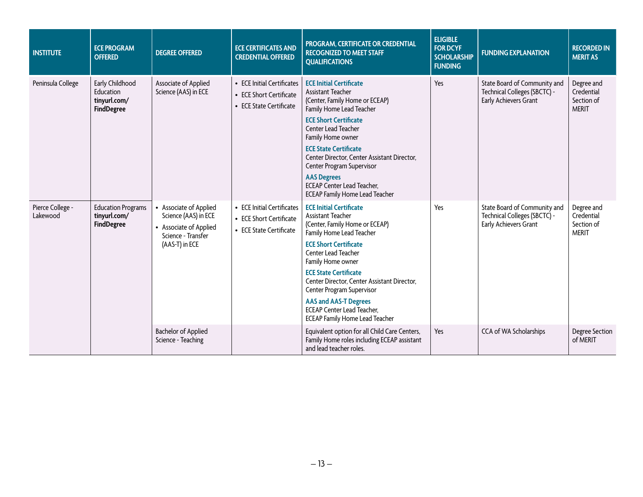| <b>INSTITUTE</b>             | <b>ECE PROGRAM</b><br><b>OFFERED</b>                              | <b>DEGREE OFFERED</b>                                                                                            | <b>ECE CERTIFICATES AND</b><br><b>CREDENTIAL OFFERED</b>                         | PROGRAM, CERTIFICATE OR CREDENTIAL<br><b>RECOGNIZED TO MEET STAFF</b><br><b>QUALIFICATIONS</b>                                                                                                                                                                                                                                                                                                                          | <b>ELIGIBLE</b><br><b>FOR DCYF</b><br><b>SCHOLARSHIP</b><br><b>FUNDING</b> | <b>FUNDING EXPLANATION</b>                                                            | <b>RECORDED IN</b><br><b>MERIT AS</b>                  |
|------------------------------|-------------------------------------------------------------------|------------------------------------------------------------------------------------------------------------------|----------------------------------------------------------------------------------|-------------------------------------------------------------------------------------------------------------------------------------------------------------------------------------------------------------------------------------------------------------------------------------------------------------------------------------------------------------------------------------------------------------------------|----------------------------------------------------------------------------|---------------------------------------------------------------------------------------|--------------------------------------------------------|
| Peninsula College            | Early Childhood<br>Education<br>tinyurl.com/<br><b>FindDegree</b> | Associate of Applied<br>Science (AAS) in ECE                                                                     | • ECE Initial Certificates<br>• ECE Short Certificate<br>• ECE State Certificate | <b>ECE Initial Certificate</b><br><b>Assistant Teacher</b><br>(Center, Family Home or ECEAP)<br>Family Home Lead Teacher<br><b>ECE Short Certificate</b><br>Center Lead Teacher<br>Family Home owner<br><b>ECE State Certificate</b><br>Center Director, Center Assistant Director,<br>Center Program Supervisor<br><b>AAS Degrees</b><br><b>ECEAP Center Lead Teacher,</b><br><b>ECEAP Family Home Lead Teacher</b>    | Yes                                                                        | State Board of Community and<br>Technical Colleges (SBCTC) -<br>Early Achievers Grant | Degree and<br>Credential<br>Section of<br><b>MERIT</b> |
| Pierce College -<br>Lakewood | <b>Education Programs</b><br>tinyurl.com/<br><b>FindDegree</b>    | • Associate of Applied<br>Science (AAS) in ECE<br>• Associate of Applied<br>Science - Transfer<br>(AAS-T) in ECE | • ECE Initial Certificates<br>• ECE Short Certificate<br>• ECE State Certificate | <b>ECE Initial Certificate</b><br>Assistant Teacher<br>(Center, Family Home or ECEAP)<br>Family Home Lead Teacher<br><b>ECE Short Certificate</b><br>Center Lead Teacher<br>Family Home owner<br><b>ECE State Certificate</b><br>Center Director, Center Assistant Director,<br>Center Program Supervisor<br><b>AAS and AAS-T Degrees</b><br><b>ECEAP Center Lead Teacher,</b><br><b>ECEAP Family Home Lead Teacher</b> | Yes                                                                        | State Board of Community and<br>Technical Colleges (SBCTC) -<br>Early Achievers Grant | Degree and<br>Credential<br>Section of<br><b>MERIT</b> |
|                              |                                                                   | <b>Bachelor of Applied</b><br>Science - Teaching                                                                 |                                                                                  | Equivalent option for all Child Care Centers,<br>Family Home roles including ECEAP assistant<br>and lead teacher roles.                                                                                                                                                                                                                                                                                                 | Yes                                                                        | CCA of WA Scholarships                                                                | <b>Degree Section</b><br>of MERIT                      |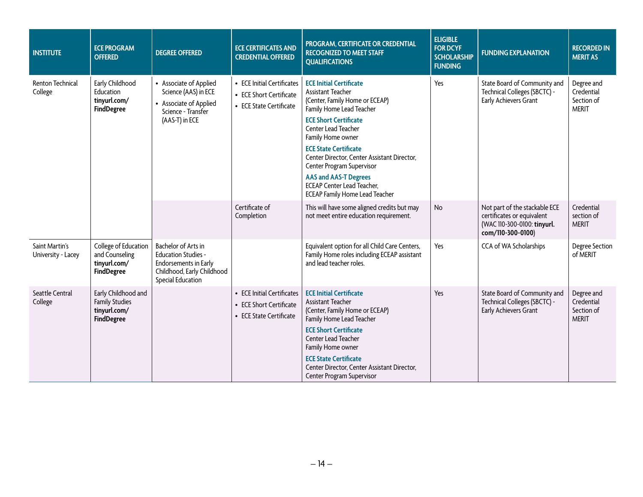| <b>INSTITUTE</b>                     | <b>ECE PROGRAM</b><br><b>OFFERED</b>                                              | <b>DEGREE OFFERED</b>                                                                                                                | <b>ECE CERTIFICATES AND</b><br><b>CREDENTIAL OFFERED</b>                         | PROGRAM, CERTIFICATE OR CREDENTIAL<br><b>RECOGNIZED TO MEET STAFF</b><br><b>QUALIFICATIONS</b>                                                                                                                                                                                                                                                                                                                          | <b>ELIGIBLE</b><br><b>FOR DCYF</b><br><b>SCHOLARSHIP</b><br><b>FUNDING</b> | <b>FUNDING EXPLANATION</b>                                                                                      | <b>RECORDED IN</b><br><b>MERIT AS</b>                  |
|--------------------------------------|-----------------------------------------------------------------------------------|--------------------------------------------------------------------------------------------------------------------------------------|----------------------------------------------------------------------------------|-------------------------------------------------------------------------------------------------------------------------------------------------------------------------------------------------------------------------------------------------------------------------------------------------------------------------------------------------------------------------------------------------------------------------|----------------------------------------------------------------------------|-----------------------------------------------------------------------------------------------------------------|--------------------------------------------------------|
| <b>Renton Technical</b><br>College   | Early Childhood<br>Education<br>tinyurl.com/<br><b>FindDegree</b>                 | • Associate of Applied<br>Science (AAS) in ECE<br>• Associate of Applied<br>Science - Transfer<br>(AAS-T) in ECE                     | • ECE Initial Certificates<br>• ECE Short Certificate<br>• ECE State Certificate | <b>ECE Initial Certificate</b><br>Assistant Teacher<br>(Center, Family Home or ECEAP)<br>Family Home Lead Teacher<br><b>ECE Short Certificate</b><br>Center Lead Teacher<br>Family Home owner<br><b>ECE State Certificate</b><br>Center Director, Center Assistant Director,<br>Center Program Supervisor<br><b>AAS and AAS-T Degrees</b><br><b>ECEAP Center Lead Teacher,</b><br><b>ECEAP Family Home Lead Teacher</b> | Yes                                                                        | State Board of Community and<br>Technical Colleges (SBCTC) -<br>Early Achievers Grant                           | Degree and<br>Credential<br>Section of<br><b>MERIT</b> |
|                                      |                                                                                   |                                                                                                                                      | Certificate of<br>Completion                                                     | This will have some aligned credits but may<br>not meet entire education requirement.                                                                                                                                                                                                                                                                                                                                   | No                                                                         | Not part of the stackable ECE<br>certificates or equivalent<br>(WAC 110-300-0100: tinyurl.<br>com/110-300-0100) | Credential<br>section of<br><b>MERIT</b>               |
| Saint Martin's<br>University - Lacey | College of Education<br>and Counseling<br>tinyurl.com/<br><b>FindDegree</b>       | Bachelor of Arts in<br><b>Education Studies -</b><br>Endorsements in Early<br>Childhood, Early Childhood<br><b>Special Education</b> |                                                                                  | Equivalent option for all Child Care Centers,<br>Family Home roles including ECEAP assistant<br>and lead teacher roles.                                                                                                                                                                                                                                                                                                 | Yes                                                                        | CCA of WA Scholarships                                                                                          | <b>Degree Section</b><br>of MERIT                      |
| Seattle Central<br>College           | Early Childhood and<br><b>Family Studies</b><br>tinyurl.com/<br><b>FindDegree</b> |                                                                                                                                      | • ECE Initial Certificates<br>• ECE Short Certificate<br>• ECE State Certificate | <b>ECE Initial Certificate</b><br>Assistant Teacher<br>(Center, Family Home or ECEAP)<br>Family Home Lead Teacher<br><b>ECE Short Certificate</b>                                                                                                                                                                                                                                                                       | Yes                                                                        | State Board of Community and<br>Technical Colleges (SBCTC) -<br>Early Achievers Grant                           | Degree and<br>Credential<br>Section of<br><b>MERIT</b> |
|                                      |                                                                                   |                                                                                                                                      |                                                                                  | Center Lead Teacher<br>Family Home owner<br><b>ECE State Certificate</b>                                                                                                                                                                                                                                                                                                                                                |                                                                            |                                                                                                                 |                                                        |
|                                      |                                                                                   |                                                                                                                                      |                                                                                  | Center Director, Center Assistant Director,<br>Center Program Supervisor                                                                                                                                                                                                                                                                                                                                                |                                                                            |                                                                                                                 |                                                        |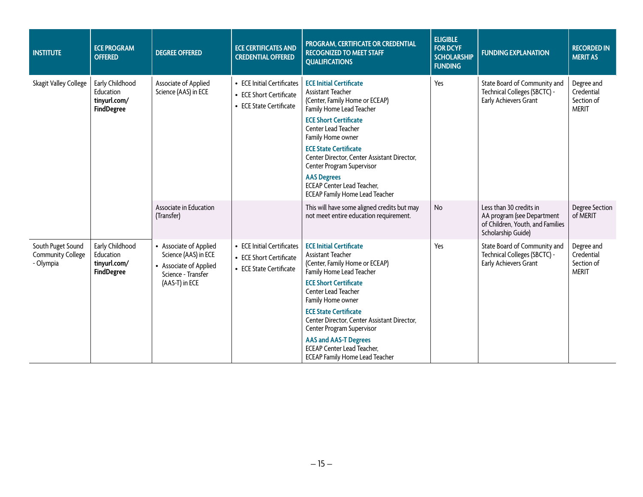| <b>INSTITUTE</b>                                           | <b>ECE PROGRAM</b><br><b>OFFERED</b>                              | <b>DEGREE OFFERED</b>                                                                                            | <b>ECE CERTIFICATES AND</b><br><b>CREDENTIAL OFFERED</b>                         | PROGRAM, CERTIFICATE OR CREDENTIAL<br><b>RECOGNIZED TO MEET STAFF</b><br><b>QUALIFICATIONS</b>                                                                                                                                                                                                                                                                                                                                 | <b>ELIGIBLE</b><br><b>FOR DCYF</b><br><b>SCHOLARSHIP</b><br><b>FUNDING</b> | <b>FUNDING EXPLANATION</b>                                                                                      | <b>RECORDED IN</b><br><b>MERIT AS</b>                  |
|------------------------------------------------------------|-------------------------------------------------------------------|------------------------------------------------------------------------------------------------------------------|----------------------------------------------------------------------------------|--------------------------------------------------------------------------------------------------------------------------------------------------------------------------------------------------------------------------------------------------------------------------------------------------------------------------------------------------------------------------------------------------------------------------------|----------------------------------------------------------------------------|-----------------------------------------------------------------------------------------------------------------|--------------------------------------------------------|
| Skagit Valley College                                      | Early Childhood<br>Education<br>tinyurl.com/<br><b>FindDegree</b> | Associate of Applied<br>Science (AAS) in ECE                                                                     | • ECE Initial Certificates<br>• ECE Short Certificate<br>• ECE State Certificate | <b>ECE Initial Certificate</b><br>Assistant Teacher<br>(Center, Family Home or ECEAP)<br>Family Home Lead Teacher<br><b>ECE Short Certificate</b><br>Center Lead Teacher<br>Family Home owner<br><b>ECE State Certificate</b><br>Center Director, Center Assistant Director,<br>Center Program Supervisor<br><b>AAS Degrees</b><br><b>ECEAP Center Lead Teacher,</b><br><b>ECEAP Family Home Lead Teacher</b>                  | Yes                                                                        | State Board of Community and<br>Technical Colleges (SBCTC) -<br>Early Achievers Grant                           | Degree and<br>Credential<br>Section of<br><b>MERIT</b> |
|                                                            |                                                                   | Associate in Education<br>(Transfer)                                                                             |                                                                                  | This will have some aligned credits but may<br>not meet entire education requirement.                                                                                                                                                                                                                                                                                                                                          | No                                                                         | Less than 30 credits in<br>AA program (see Department<br>of Children, Youth, and Families<br>Scholarship Guide) | <b>Degree Section</b><br>of MERIT                      |
| South Puget Sound<br><b>Community College</b><br>- Olympia | Early Childhood<br>Education<br>tinyurl.com/<br><b>FindDegree</b> | • Associate of Applied<br>Science (AAS) in ECE<br>• Associate of Applied<br>Science - Transfer<br>(AAS-T) in ECE | • ECE Initial Certificates<br>• ECE Short Certificate<br>• ECE State Certificate | <b>ECE Initial Certificate</b><br><b>Assistant Teacher</b><br>(Center, Family Home or ECEAP)<br>Family Home Lead Teacher<br><b>ECE Short Certificate</b><br>Center Lead Teacher<br>Family Home owner<br><b>ECE State Certificate</b><br>Center Director, Center Assistant Director,<br>Center Program Supervisor<br><b>AAS and AAS-T Degrees</b><br><b>ECEAP Center Lead Teacher,</b><br><b>ECEAP Family Home Lead Teacher</b> | Yes                                                                        | State Board of Community and<br>Technical Colleges (SBCTC) -<br>Early Achievers Grant                           | Degree and<br>Credential<br>Section of<br><b>MERIT</b> |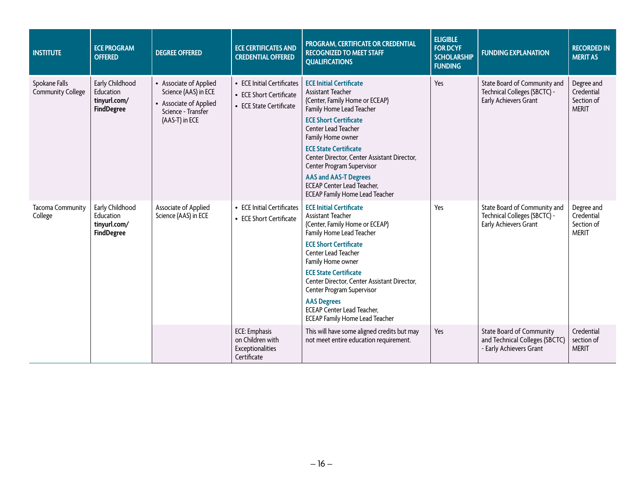| <b>INSTITUTE</b>                          | <b>ECE PROGRAM</b><br><b>OFFERED</b>                              | <b>DEGREE OFFERED</b>                                                                                            | <b>ECE CERTIFICATES AND</b><br><b>CREDENTIAL OFFERED</b>                              | PROGRAM, CERTIFICATE OR CREDENTIAL<br><b>RECOGNIZED TO MEET STAFF</b><br><b>QUALIFICATIONS</b>                                                                                                                                                                                                                                                                                                                                 | <b>ELIGIBLE</b><br><b>FOR DCYF</b><br><b>SCHOLARSHIP</b><br><b>FUNDING</b> | <b>FUNDING EXPLANATION</b>                                                                   | <b>RECORDED IN</b><br><b>MERIT AS</b>                  |
|-------------------------------------------|-------------------------------------------------------------------|------------------------------------------------------------------------------------------------------------------|---------------------------------------------------------------------------------------|--------------------------------------------------------------------------------------------------------------------------------------------------------------------------------------------------------------------------------------------------------------------------------------------------------------------------------------------------------------------------------------------------------------------------------|----------------------------------------------------------------------------|----------------------------------------------------------------------------------------------|--------------------------------------------------------|
| Spokane Falls<br><b>Community College</b> | Early Childhood<br>Education<br>tinyurl.com/<br><b>FindDegree</b> | • Associate of Applied<br>Science (AAS) in ECE<br>• Associate of Applied<br>Science - Transfer<br>(AAS-T) in ECE | <b>ECE Initial Certificates</b><br>• ECE Short Certificate<br>• ECE State Certificate | <b>ECE Initial Certificate</b><br><b>Assistant Teacher</b><br>(Center, Family Home or ECEAP)<br>Family Home Lead Teacher<br><b>ECE Short Certificate</b><br>Center Lead Teacher<br>Family Home owner<br><b>ECE State Certificate</b><br>Center Director, Center Assistant Director,<br>Center Program Supervisor<br><b>AAS and AAS-T Degrees</b><br><b>ECEAP Center Lead Teacher,</b><br><b>ECEAP Family Home Lead Teacher</b> | Yes                                                                        | State Board of Community and<br>Technical Colleges (SBCTC) -<br>Early Achievers Grant        | Degree and<br>Credential<br>Section of<br><b>MERIT</b> |
| <b>Tacoma Community</b><br>College        | Early Childhood<br>Education<br>tinyurl.com/<br><b>FindDegree</b> | Associate of Applied<br>Science (AAS) in ECE                                                                     | • ECE Initial Certificates<br>• ECE Short Certificate                                 | <b>ECE Initial Certificate</b><br>Assistant Teacher<br>(Center, Family Home or ECEAP)<br>Family Home Lead Teacher<br><b>ECE Short Certificate</b><br>Center Lead Teacher<br>Family Home owner<br><b>ECE State Certificate</b><br>Center Director, Center Assistant Director,<br>Center Program Supervisor<br><b>AAS Degrees</b><br><b>ECEAP Center Lead Teacher,</b><br><b>ECEAP Family Home Lead Teacher</b>                  | Yes<br>Early Achievers Grant                                               | State Board of Community and<br>Technical Colleges (SBCTC) -                                 | Degree and<br>Credential<br>Section of<br><b>MERIT</b> |
|                                           |                                                                   |                                                                                                                  | <b>ECE:</b> Emphasis<br>on Children with<br>Exceptionalities<br>Certificate           | This will have some aligned credits but may<br>not meet entire education requirement.                                                                                                                                                                                                                                                                                                                                          | Yes                                                                        | <b>State Board of Community</b><br>and Technical Colleges (SBCTC)<br>- Early Achievers Grant | Credential<br>section of<br><b>MERIT</b>               |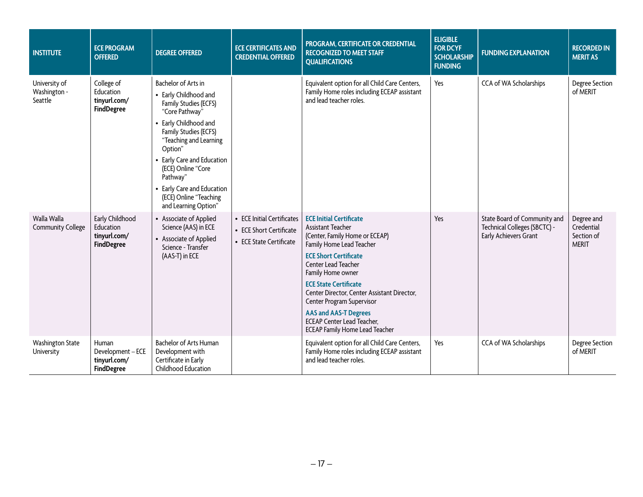| <b>INSTITUTE</b>                         | <b>ECE PROGRAM</b><br><b>OFFERED</b>                              | <b>DEGREE OFFERED</b>                                                                                                                                                                                                                                                                                                          | <b>ECE CERTIFICATES AND</b><br><b>CREDENTIAL OFFERED</b>                         | PROGRAM, CERTIFICATE OR CREDENTIAL<br><b>RECOGNIZED TO MEET STAFF</b><br><b>QUALIFICATIONS</b>                                                                                                                                                                                                                                                                                                                          | <b>ELIGIBLE</b><br><b>FOR DCYF</b><br><b>SCHOLARSHIP</b><br><b>FUNDING</b> | <b>FUNDING EXPLANATION</b>                                                            | <b>RECORDED IN</b><br><b>MERIT AS</b>                  |
|------------------------------------------|-------------------------------------------------------------------|--------------------------------------------------------------------------------------------------------------------------------------------------------------------------------------------------------------------------------------------------------------------------------------------------------------------------------|----------------------------------------------------------------------------------|-------------------------------------------------------------------------------------------------------------------------------------------------------------------------------------------------------------------------------------------------------------------------------------------------------------------------------------------------------------------------------------------------------------------------|----------------------------------------------------------------------------|---------------------------------------------------------------------------------------|--------------------------------------------------------|
| University of<br>Washington -<br>Seattle | College of<br>Education<br>tinyurl.com/<br><b>FindDegree</b>      | Bachelor of Arts in<br>• Early Childhood and<br>Family Studies (ECFS)<br>"Core Pathway"<br>• Early Childhood and<br>Family Studies (ECFS)<br>"Teaching and Learning<br>Option"<br>• Early Care and Education<br>(ECE) Online "Core<br>Pathway"<br>• Early Care and Education<br>(ECE) Online "Teaching<br>and Learning Option" |                                                                                  | Equivalent option for all Child Care Centers,<br>Family Home roles including ECEAP assistant<br>and lead teacher roles.                                                                                                                                                                                                                                                                                                 | Yes                                                                        | CCA of WA Scholarships                                                                | <b>Degree Section</b><br>of MERIT                      |
| Walla Walla<br><b>Community College</b>  | Early Childhood<br>Education<br>tinyurl.com/<br><b>FindDegree</b> | • Associate of Applied<br>Science (AAS) in ECE<br>• Associate of Applied<br>Science - Transfer<br>(AAS-T) in ECE                                                                                                                                                                                                               | • ECE Initial Certificates<br>• ECE Short Certificate<br>• ECE State Certificate | <b>ECE Initial Certificate</b><br>Assistant Teacher<br>(Center, Family Home or ECEAP)<br>Family Home Lead Teacher<br><b>ECE Short Certificate</b><br>Center Lead Teacher<br>Family Home owner<br><b>ECE State Certificate</b><br>Center Director, Center Assistant Director,<br>Center Program Supervisor<br><b>AAS and AAS-T Degrees</b><br><b>ECEAP Center Lead Teacher,</b><br><b>ECEAP Family Home Lead Teacher</b> | Yes                                                                        | State Board of Community and<br>Technical Colleges (SBCTC) -<br>Early Achievers Grant | Degree and<br>Credential<br>Section of<br><b>MERIT</b> |
| <b>Washington State</b><br>University    | Human<br>Development - ECE<br>tinyurl.com/<br><b>FindDegree</b>   | <b>Bachelor of Arts Human</b><br>Development with<br>Certificate in Early<br>Childhood Education                                                                                                                                                                                                                               |                                                                                  | Equivalent option for all Child Care Centers,<br>Family Home roles including ECEAP assistant<br>and lead teacher roles.                                                                                                                                                                                                                                                                                                 | Yes                                                                        | CCA of WA Scholarships                                                                | <b>Degree Section</b><br>of MERIT                      |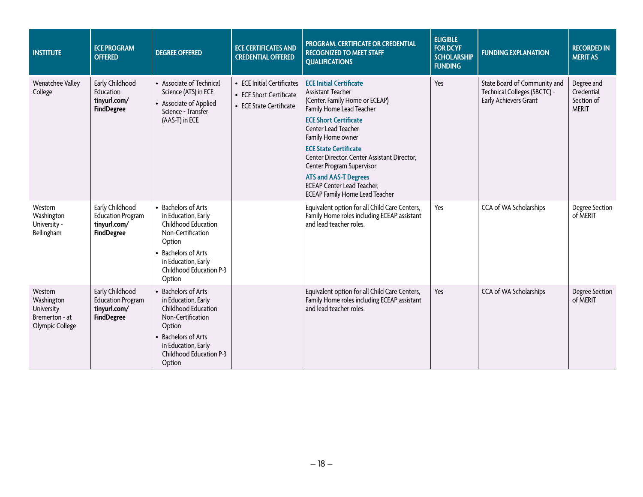| <b>INSTITUTE</b>                                                         | <b>ECE PROGRAM</b><br><b>OFFERED</b>                                             | <b>DEGREE OFFERED</b>                                                                                                                                                                    | <b>ECE CERTIFICATES AND</b><br><b>CREDENTIAL OFFERED</b>                         | PROGRAM, CERTIFICATE OR CREDENTIAL<br><b>RECOGNIZED TO MEET STAFF</b><br><b>QUALIFICATIONS</b>                                                                                                                                                                                                                                                                                                                          | <b>ELIGIBLE</b><br><b>FOR DCYF</b><br><b>SCHOLARSHIP</b><br><b>FUNDING</b> | <b>FUNDING EXPLANATION</b>                                                            | <b>RECORDED IN</b><br><b>MERIT AS</b>                  |
|--------------------------------------------------------------------------|----------------------------------------------------------------------------------|------------------------------------------------------------------------------------------------------------------------------------------------------------------------------------------|----------------------------------------------------------------------------------|-------------------------------------------------------------------------------------------------------------------------------------------------------------------------------------------------------------------------------------------------------------------------------------------------------------------------------------------------------------------------------------------------------------------------|----------------------------------------------------------------------------|---------------------------------------------------------------------------------------|--------------------------------------------------------|
| Wenatchee Valley<br>College                                              | Early Childhood<br>Education<br>tinyurl.com/<br><b>FindDegree</b>                | • Associate of Technical<br>Science (ATS) in ECE<br>• Associate of Applied<br>Science - Transfer<br>(AAS-T) in ECE                                                                       | • ECE Initial Certificates<br>• ECE Short Certificate<br>• ECE State Certificate | <b>ECE Initial Certificate</b><br>Assistant Teacher<br>(Center, Family Home or ECEAP)<br>Family Home Lead Teacher<br><b>ECE Short Certificate</b><br>Center Lead Teacher<br>Family Home owner<br><b>ECE State Certificate</b><br>Center Director, Center Assistant Director,<br>Center Program Supervisor<br><b>ATS and AAS-T Degrees</b><br><b>ECEAP Center Lead Teacher,</b><br><b>ECEAP Family Home Lead Teacher</b> | Yes                                                                        | State Board of Community and<br>Technical Colleges (SBCTC) -<br>Early Achievers Grant | Degree and<br>Credential<br>Section of<br><b>MERIT</b> |
| Western<br>Washington<br>University -<br>Bellingham                      | Early Childhood<br><b>Education Program</b><br>tinyurl.com/<br><b>FindDegree</b> | • Bachelors of Arts<br>in Education, Early<br>Childhood Education<br>Non-Certification<br>Option<br>• Bachelors of Arts<br>in Education, Early<br>Childhood Education P-3<br>Option      |                                                                                  | Equivalent option for all Child Care Centers,<br>Family Home roles including ECEAP assistant<br>and lead teacher roles.                                                                                                                                                                                                                                                                                                 | Yes                                                                        | CCA of WA Scholarships                                                                | <b>Degree Section</b><br>of MERIT                      |
| Western<br>Washington<br>University<br>Bremerton - at<br>Olympic College | Early Childhood<br><b>Education Program</b><br>tinyurl.com/<br><b>FindDegree</b> | • Bachelors of Arts<br>in Education, Early<br>Childhood Education<br>Non-Certification<br>Option<br><b>Bachelors of Arts</b><br>in Education, Early<br>Childhood Education P-3<br>Option |                                                                                  | Equivalent option for all Child Care Centers,<br>Family Home roles including ECEAP assistant<br>and lead teacher roles.                                                                                                                                                                                                                                                                                                 | Yes                                                                        | CCA of WA Scholarships                                                                | <b>Degree Section</b><br>of MERIT                      |